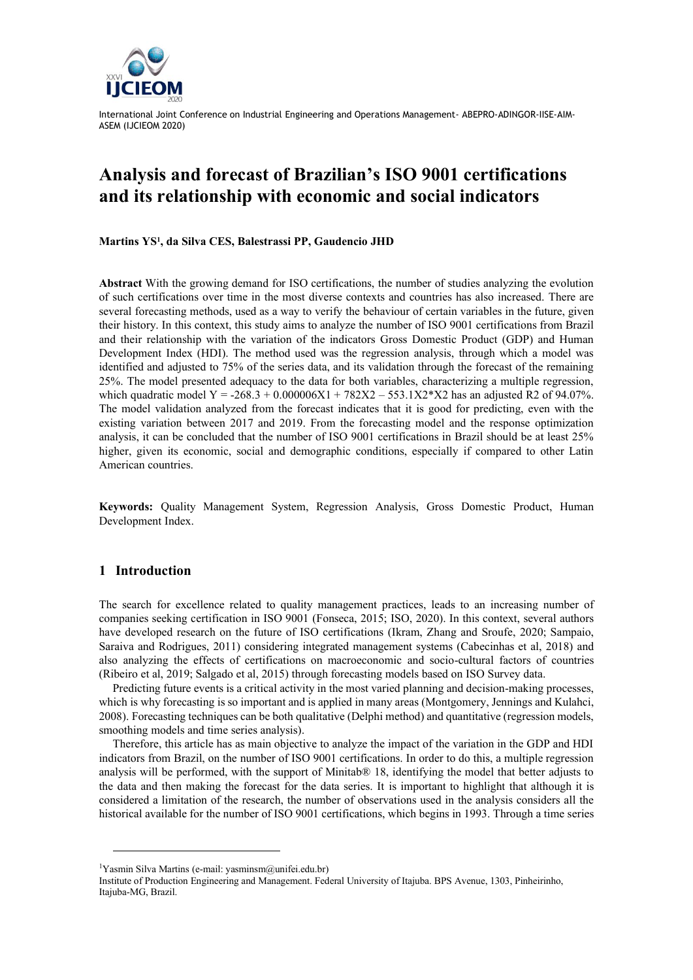

# **Analysis and forecast of Brazilian's ISO 9001 certifications and its relationship with economic and social indicators**

**Martins YS<sup>1</sup> , da Silva CES, Balestrassi PP, Gaudencio JHD**

**Abstract** With the growing demand for ISO certifications, the number of studies analyzing the evolution of such certifications over time in the most diverse contexts and countries has also increased. There are several forecasting methods, used as a way to verify the behaviour of certain variables in the future, given their history. In this context, this study aims to analyze the number of ISO 9001 certifications from Brazil and their relationship with the variation of the indicators Gross Domestic Product (GDP) and Human Development Index (HDI). The method used was the regression analysis, through which a model was identified and adjusted to 75% of the series data, and its validation through the forecast of the remaining 25%. The model presented adequacy to the data for both variables, characterizing a multiple regression, which quadratic model Y = -268.3 + 0.000006X1 + 782X2 – 553.1X2 \* X2 has an adjusted R2 of 94.07%. The model validation analyzed from the forecast indicates that it is good for predicting, even with the existing variation between 2017 and 2019. From the forecasting model and the response optimization analysis, it can be concluded that the number of ISO 9001 certifications in Brazil should be at least 25% higher, given its economic, social and demographic conditions, especially if compared to other Latin American countries.

**Keywords:** Quality Management System, Regression Analysis, Gross Domestic Product, Human Development Index.

### **1 Introduction**

The search for excellence related to quality management practices, leads to an increasing number of companies seeking certification in ISO 9001 (Fonseca, 2015; ISO, 2020). In this context, several authors have developed research on the future of ISO certifications (Ikram, Zhang and Sroufe, 2020; Sampaio, Saraiva and Rodrigues, 2011) considering integrated management systems (Cabecinhas et al, 2018) and also analyzing the effects of certifications on macroeconomic and socio-cultural factors of countries (Ribeiro et al, 2019; Salgado et al, 2015) through forecasting models based on ISO Survey data.

Predicting future events is a critical activity in the most varied planning and decision-making processes, which is why forecasting is so important and is applied in many areas (Montgomery, Jennings and Kulahci, 2008). Forecasting techniques can be both qualitative (Delphi method) and quantitative (regression models, smoothing models and time series analysis).

Therefore, this article has as main objective to analyze the impact of the variation in the GDP and HDI indicators from Brazil, on the number of ISO 9001 certifications. In order to do this, a multiple regression analysis will be performed, with the support of Minitab® 18, identifying the model that better adjusts to the data and then making the forecast for the data series. It is important to highlight that although it is considered a limitation of the research, the number of observations used in the analysis considers all the historical available for the number of ISO 9001 certifications, which begins in 1993. Through a time series

<sup>&</sup>lt;sup>1</sup>Yasmin Silva Martins (e-mail: yasminsm@unifei.edu.br)

Institute of Production Engineering and Management. Federal University of Itajuba. BPS Avenue, 1303, Pinheirinho, Itajuba-MG, Brazil.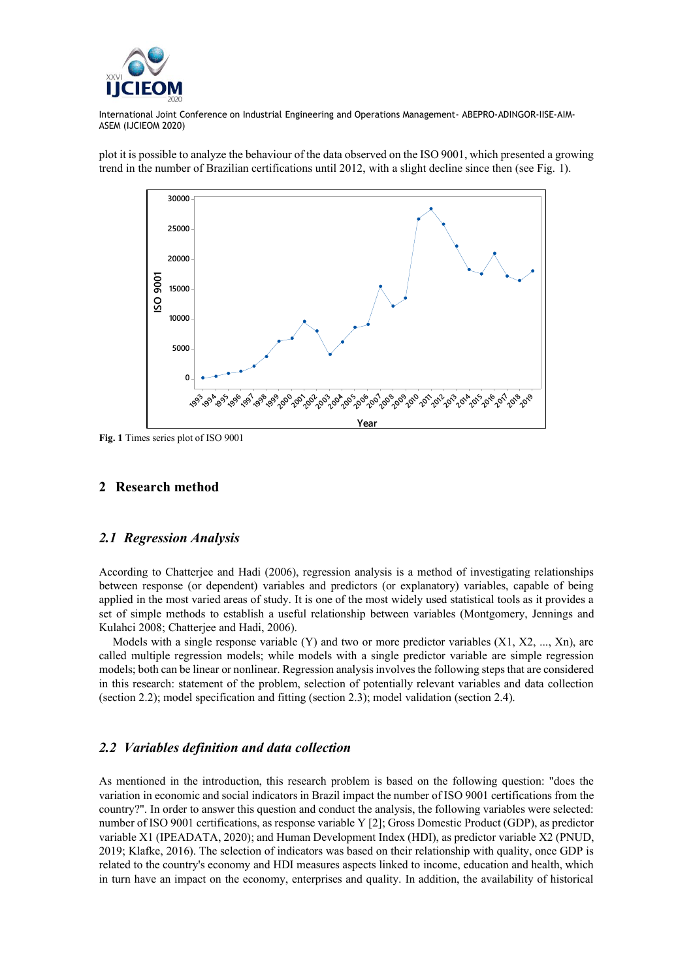

plot it is possible to analyze the behaviour of the data observed on the ISO 9001, which presented a growing trend in the number of Brazilian certifications until 2012, with a slight decline since then (see Fig. 1). **Time Series Plot of Serie**



**Fig. 1** Times series plot of ISO 9001

#### **2 Research method**

### *2.1 Regression Analysis*

According to Chatterjee and Hadi (2006), regression analysis is a method of investigating relationships between response (or dependent) variables and predictors (or explanatory) variables, capable of being applied in the most varied areas of study. It is one of the most widely used statistical tools as it provides a set of simple methods to establish a useful relationship between variables (Montgomery, Jennings and Kulahci 2008; Chatterjee and Hadi, 2006).

Models with a single response variable (Y) and two or more predictor variables (X1, X2, ..., Xn), are called multiple regression models; while models with a single predictor variable are simple regression models; both can be linear or nonlinear. Regression analysis involves the following steps that are considered in this research: statement of the problem, selection of potentially relevant variables and data collection (section 2.2); model specification and fitting (section 2.3); model validation (section 2.4).

### *2.2 Variables definition and data collection*

As mentioned in the introduction, this research problem is based on the following question: "does the variation in economic and social indicators in Brazil impact the number of ISO 9001 certifications from the country?". In order to answer this question and conduct the analysis, the following variables were selected: number of ISO 9001 certifications, as response variable Y [2]; Gross Domestic Product (GDP), as predictor variable X1 (IPEADATA, 2020); and Human Development Index (HDI), as predictor variable X2 (PNUD, 2019; Klafke, 2016). The selection of indicators was based on their relationship with quality, once GDP is related to the country's economy and HDI measures aspects linked to income, education and health, which in turn have an impact on the economy, enterprises and quality. In addition, the availability of historical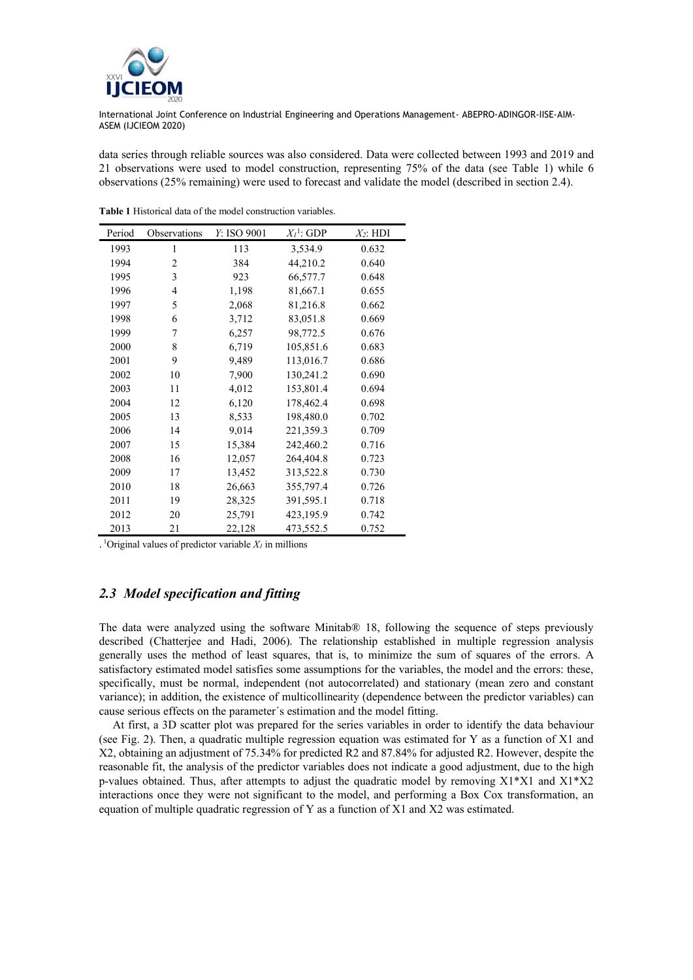

data series through reliable sources was also considered. Data were collected between 1993 and 2019 and 21 observations were used to model construction, representing 75% of the data (see Table 1) while 6 observations (25% remaining) were used to forecast and validate the model (described in section 2.4).

| Period | Observations   | Y: ISO 9001 | $X_I^1$ : GDP | $X_2$ : HDI |
|--------|----------------|-------------|---------------|-------------|
| 1993   | 1              | 113         | 3,534.9       | 0.632       |
| 1994   | $\overline{c}$ | 384         | 44,210.2      | 0.640       |
| 1995   | 3              | 923         | 66,577.7      | 0.648       |
| 1996   | 4              | 1,198       | 81,667.1      | 0.655       |
| 1997   | 5              | 2,068       | 81,216.8      | 0.662       |
| 1998   | 6              | 3,712       | 83,051.8      | 0.669       |
| 1999   | 7              | 6,257       | 98,772.5      | 0.676       |
| 2000   | 8              | 6,719       | 105,851.6     | 0.683       |
| 2001   | 9              | 9,489       | 113,016.7     | 0.686       |
| 2002   | 10             | 7,900       | 130,241.2     | 0.690       |
| 2003   | 11             | 4,012       | 153,801.4     | 0.694       |
| 2004   | 12             | 6,120       | 178,462.4     | 0.698       |
| 2005   | 13             | 8,533       | 198,480.0     | 0.702       |
| 2006   | 14             | 9,014       | 221,359.3     | 0.709       |
| 2007   | 15             | 15,384      | 242,460.2     | 0.716       |
| 2008   | 16             | 12,057      | 264,404.8     | 0.723       |
| 2009   | 17             | 13,452      | 313,522.8     | 0.730       |
| 2010   | 18             | 26,663      | 355,797.4     | 0.726       |
| 2011   | 19             | 28,325      | 391,595.1     | 0.718       |
| 2012   | 20             | 25,791      | 423,195.9     | 0.742       |
| 2013   | 21             | 22,128      | 473,552.5     | 0.752       |

**Table 1** Historical data of the model construction variables.

 $\cdot$ <sup>1</sup>Original values of predictor variable  $X_I$  in millions

## *2.3 Model specification and fitting*

The data were analyzed using the software Minitab® 18, following the sequence of steps previously described (Chatterjee and Hadi, 2006). The relationship established in multiple regression analysis generally uses the method of least squares, that is, to minimize the sum of squares of the errors. A satisfactory estimated model satisfies some assumptions for the variables, the model and the errors: these, specifically, must be normal, independent (not autocorrelated) and stationary (mean zero and constant variance); in addition, the existence of multicollinearity (dependence between the predictor variables) can cause serious effects on the parameter´s estimation and the model fitting.

At first, a 3D scatter plot was prepared for the series variables in order to identify the data behaviour (see Fig. 2). Then, a quadratic multiple regression equation was estimated for Y as a function of X1 and X2, obtaining an adjustment of 75.34% for predicted R2 and 87.84% for adjusted R2. However, despite the reasonable fit, the analysis of the predictor variables does not indicate a good adjustment, due to the high p-values obtained. Thus, after attempts to adjust the quadratic model by removing  $X1^*X1$  and  $X1^*X2$ interactions once they were not significant to the model, and performing a Box Cox transformation, an equation of multiple quadratic regression of Y as a function of X1 and X2 was estimated.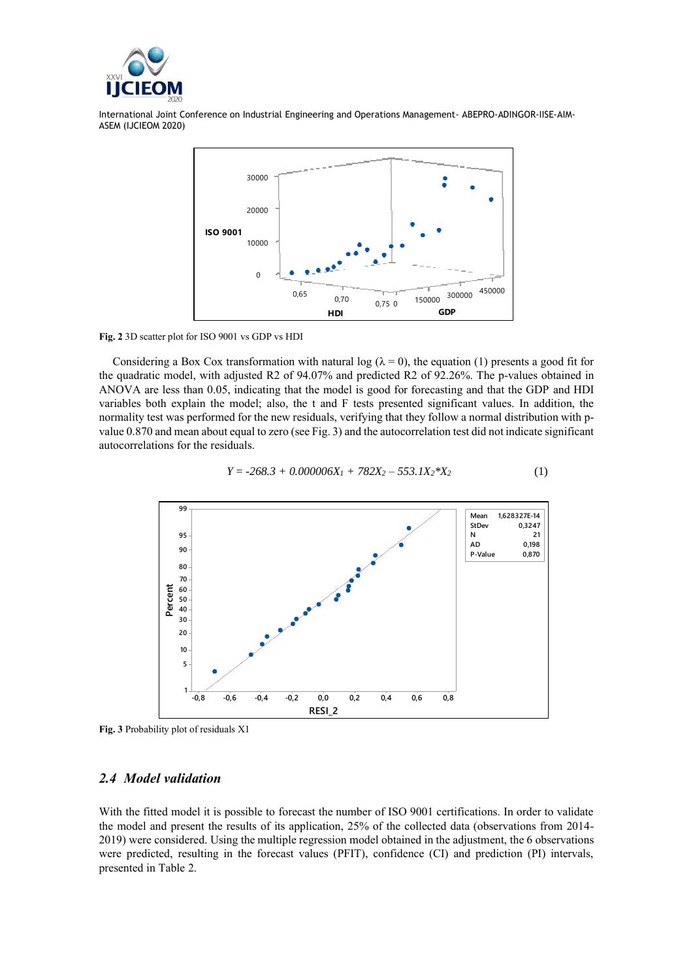



**Fig. 2** 3D scatter plot for ISO 9001 vs GDP vs HDI

Considering a Box Cox transformation with natural log ( $\lambda = 0$ ), the equation (1) presents a good fit for the quadratic model, with adjusted R2 of 94.07% and predicted R2 of 92.26%. The p-values obtained in ANOVA are less than 0.05, indicating that the model is good for forecasting and that the GDP and HDI variables both explain the model; also, the t and F tests presented significant values. In addition, the normality test was performed for the new residuals, verifying that they follow a normal distribution with pvalue 0.870 and mean about equal to zero (see Fig. 3) and the autocorrelation test did not indicate significant autocorrelations for the residuals.



$$
Y = -268.3 + 0.000006X_1 + 782X_2 - 553.1X_2 * X_2
$$
 (1)

**Fig. 3** Probability plot of residuals X1

### *2.4 Model validation*

With the fitted model it is possible to forecast the number of ISO 9001 certifications. In order to validate the model and present the results of its application, 25% of the collected data (observations from 2014- 2019) were considered. Using the multiple regression model obtained in the adjustment, the 6 observations were predicted, resulting in the forecast values (PFIT), confidence (CI) and prediction (PI) intervals, presented in Table 2.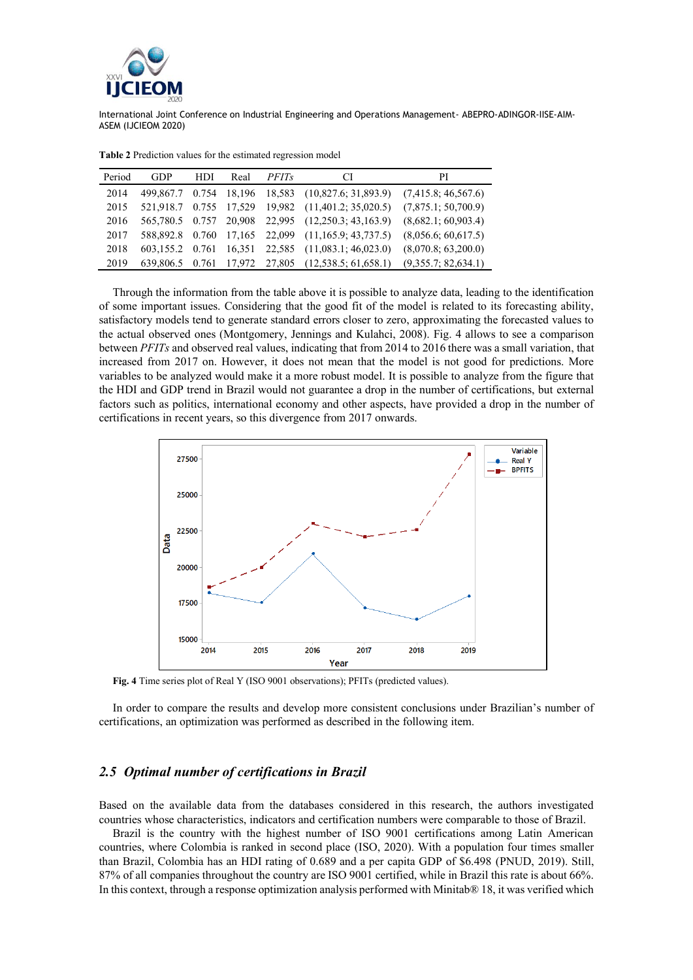

| Period | <b>GDP</b>      | HDI | Real | <i>PFITs</i> | CI                                                 | РI                  |
|--------|-----------------|-----|------|--------------|----------------------------------------------------|---------------------|
|        |                 |     |      |              |                                                    |                     |
| 2014   |                 |     |      |              | 499,867.7 0.754 18,196 18,583 (10,827.6; 31,893.9) | (7,415.8; 46,567.6) |
| 2015   |                 |     |      |              | 521,918.7 0.755 17,529 19,982 (11,401.2; 35,020.5) | (7,875.1; 50,700.9) |
| 2016   |                 |     |      |              | 565,780.5 0.757 20,908 22,995 (12,250.3; 43,163.9) | (8,682.1; 60,903.4) |
| 2017   |                 |     |      |              | 588,892.8 0.760 17,165 22,099 (11,165.9; 43,737.5) | (8,056.6; 60,617.5) |
| 2018   | 603.155.2 0.761 |     |      |              | 16,351 22,585 (11,083.1; 46,023.0)                 | (8,070.8; 63,200.0) |
| 2019   |                 |     |      |              | 639,806.5 0.761 17,972 27,805 (12,538.5; 61,658.1) | (9,355.7; 82,634.1) |

**Table 2** Prediction values for the estimated regression model

Through the information from the table above it is possible to analyze data, leading to the identification of some important issues. Considering that the good fit of the model is related to its forecasting ability, satisfactory models tend to generate standard errors closer to zero, approximating the forecasted values to the actual observed ones (Montgomery, Jennings and Kulahci, 2008). Fig. 4 allows to see a comparison between *PFITs* and observed real values, indicating that from 2014 to 2016 there was a small variation, that increased from 2017 on. However, it does not mean that the model is not good for predictions. More variables to be analyzed would make it a more robust model. It is possible to analyze from the figure that the HDI and GDP trend in Brazil would not guarantee a drop in the number of certifications, but external factors such as politics, international economy and other aspects, have provided a drop in the number of certifications in recent years, so this divergence from 2017 onwards.



**Fig. 4** Time series plot of Real Y (ISO 9001 observations); PFITs (predicted values).

In order to compare the results and develop more consistent conclusions under Brazilian's number of certifications, an optimization was performed as described in the following item.

### *2.5 Optimal number of certifications in Brazil*

Based on the available data from the databases considered in this research, the authors investigated countries whose characteristics, indicators and certification numbers were comparable to those of Brazil.

Brazil is the country with the highest number of ISO 9001 certifications among Latin American countries, where Colombia is ranked in second place (ISO, 2020). With a population four times smaller than Brazil, Colombia has an HDI rating of 0.689 and a per capita GDP of \$6.498 (PNUD, 2019). Still, 87% of all companies throughout the country are ISO 9001 certified, while in Brazil this rate is about 66%. In this context, through a response optimization analysis performed with Minitab® 18, it was verified which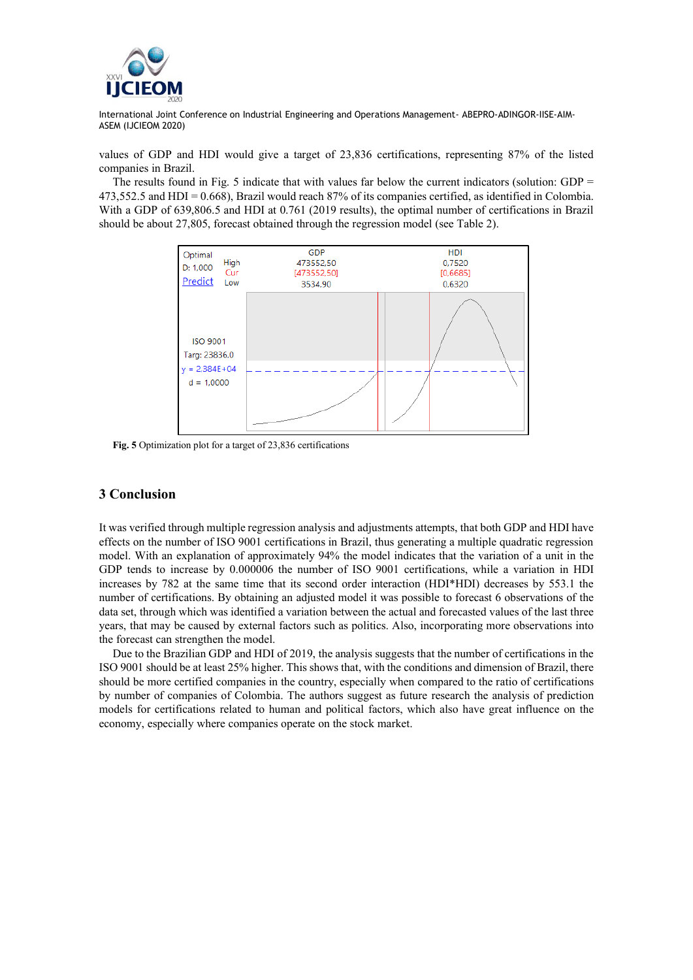

values of GDP and HDI would give a target of 23,836 certifications, representing 87% of the listed companies in Brazil.

The results found in Fig. 5 indicate that with values far below the current indicators (solution: GDP  $=$ 473,552.5 and HDI = 0.668), Brazil would reach 87% of its companies certified, as identified in Colombia. With a GDP of 639,806.5 and HDI at 0.761 (2019 results), the optimal number of certifications in Brazil should be about 27,805, forecast obtained through the regression model (see Table 2).



**Fig. 5** Optimization plot for a target of 23,836 certifications

### **3 Conclusion**

It was verified through multiple regression analysis and adjustments attempts, that both GDP and HDI have effects on the number of ISO 9001 certifications in Brazil, thus generating a multiple quadratic regression model. With an explanation of approximately 94% the model indicates that the variation of a unit in the GDP tends to increase by 0.000006 the number of ISO 9001 certifications, while a variation in HDI increases by 782 at the same time that its second order interaction (HDI\*HDI) decreases by 553.1 the number of certifications. By obtaining an adjusted model it was possible to forecast 6 observations of the data set, through which was identified a variation between the actual and forecasted values of the last three years, that may be caused by external factors such as politics. Also, incorporating more observations into the forecast can strengthen the model.

Due to the Brazilian GDP and HDI of 2019, the analysis suggests that the number of certifications in the ISO 9001 should be at least 25% higher. This shows that, with the conditions and dimension of Brazil, there should be more certified companies in the country, especially when compared to the ratio of certifications by number of companies of Colombia. The authors suggest as future research the analysis of prediction models for certifications related to human and political factors, which also have great influence on the economy, especially where companies operate on the stock market.